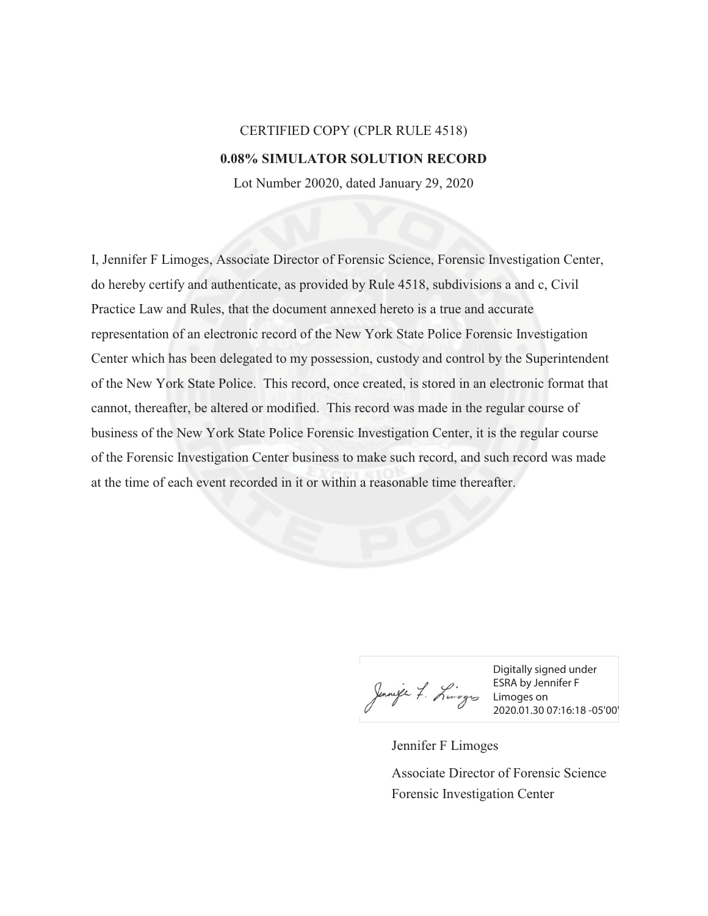## CERTIFIED COPY (CPLR RULE 4518) **0.08% SIMULATOR SOLUTION RECORD**

Lot Number 20020, dated January 29, 2020

I, Jennifer F Limoges, Associate Director of Forensic Science, Forensic Investigation Center, do hereby certify and authenticate, as provided by Rule 4518, subdivisions a and c, Civil Practice Law and Rules, that the document annexed hereto is a true and accurate representation of an electronic record of the New York State Police Forensic Investigation Center which has been delegated to my possession, custody and control by the Superintendent of the New York State Police. This record, once created, is stored in an electronic format that cannot, thereafter, be altered or modified. This record was made in the regular course of business of the New York State Police Forensic Investigation Center, it is the regular course of the Forensic Investigation Center business to make such record, and such record was made at the time of each event recorded in it or within a reasonable time thereafter.

Junife 7. Limoges on ESRA by Jens<br>2020.01.300 2020.01.300

Digitally signed under ESRA by Jennifer F 2020.01.30 07:16:18 -05'00'

Jennifer F Limoges Forensic Investigation Center Associate Director of Forensic Science